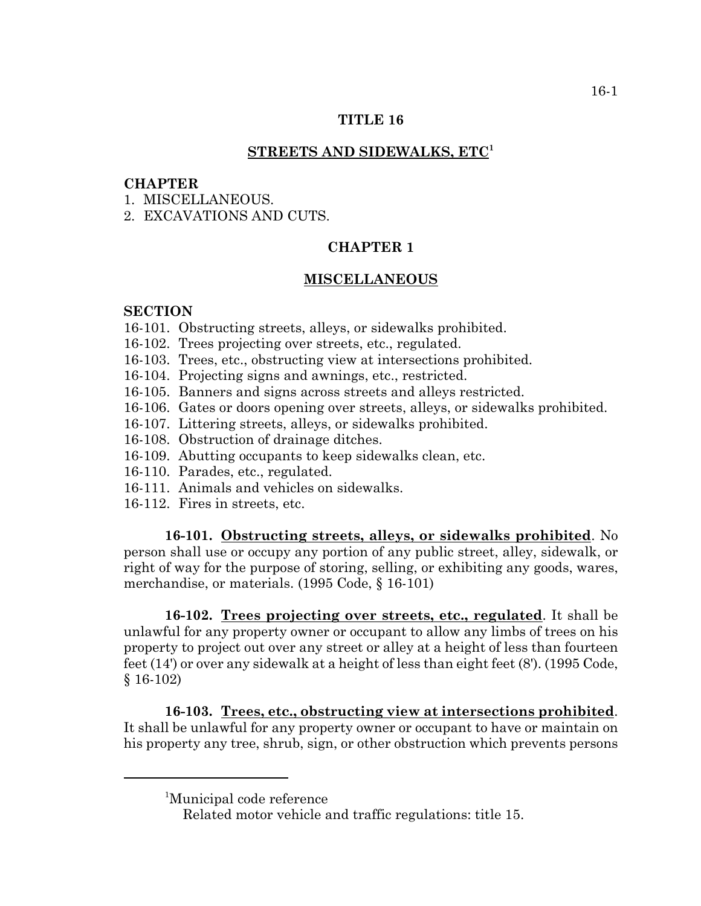## **TITLE 16**

## **STREETS AND SIDEWALKS, ETC<sup>1</sup>**

## **CHAPTER**

- 1 MISCELLANEOUS
- 2. EXCAVATIONS AND CUTS.

# **CHAPTER 1**

#### **MISCELLANEOUS**

#### **SECTION**

- 16-101. Obstructing streets, alleys, or sidewalks prohibited.
- 16-102. Trees projecting over streets, etc., regulated.
- 16-103. Trees, etc., obstructing view at intersections prohibited.
- 16-104. Projecting signs and awnings, etc., restricted.
- 16-105. Banners and signs across streets and alleys restricted.
- 16-106. Gates or doors opening over streets, alleys, or sidewalks prohibited.
- 16-107. Littering streets, alleys, or sidewalks prohibited.
- 16-108. Obstruction of drainage ditches.
- 16-109. Abutting occupants to keep sidewalks clean, etc.
- 16-110. Parades, etc., regulated.
- 16-111. Animals and vehicles on sidewalks.
- 16-112. Fires in streets, etc.

**16-101. Obstructing streets, alleys, or sidewalks prohibited**. No person shall use or occupy any portion of any public street, alley, sidewalk, or right of way for the purpose of storing, selling, or exhibiting any goods, wares, merchandise, or materials. (1995 Code, § 16-101)

**16-102. Trees projecting over streets, etc., regulated**. It shall be unlawful for any property owner or occupant to allow any limbs of trees on his property to project out over any street or alley at a height of less than fourteen feet (14') or over any sidewalk at a height of less than eight feet (8'). (1995 Code, § 16-102)

**16-103. Trees, etc., obstructing view at intersections prohibited**. It shall be unlawful for any property owner or occupant to have or maintain on his property any tree, shrub, sign, or other obstruction which prevents persons

<sup>1</sup> Municipal code reference

Related motor vehicle and traffic regulations: title 15.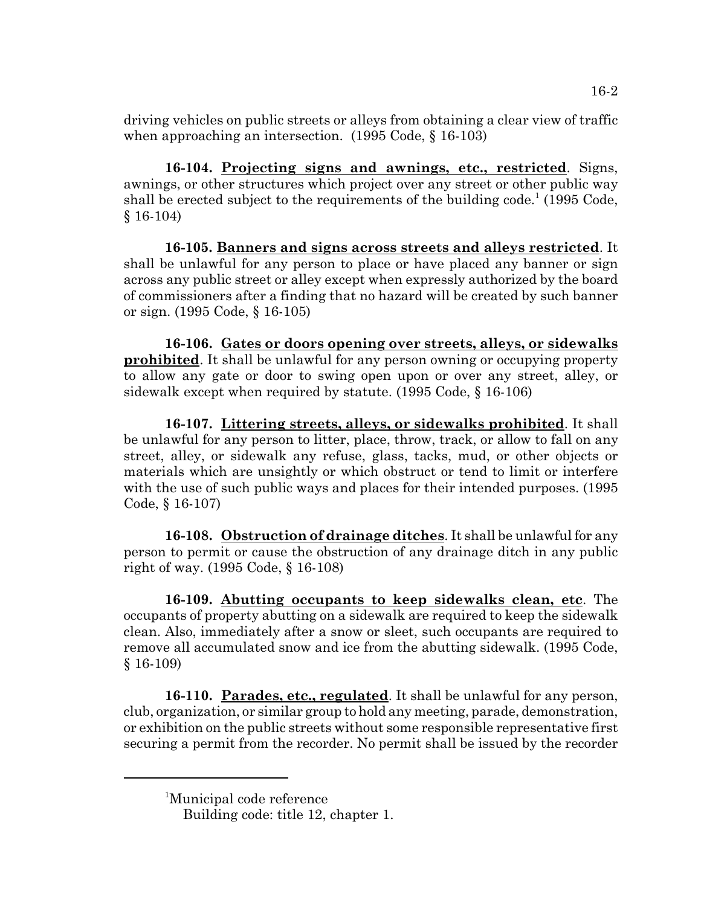driving vehicles on public streets or alleys from obtaining a clear view of traffic when approaching an intersection. (1995 Code, § 16-103)

**16-104. Projecting signs and awnings, etc., restricted**. Signs, awnings, or other structures which project over any street or other public way shall be erected subject to the requirements of the building code.<sup>1</sup> (1995 Code, § 16-104)

**16-105. Banners and signs across streets and alleys restricted**. It shall be unlawful for any person to place or have placed any banner or sign across any public street or alley except when expressly authorized by the board of commissioners after a finding that no hazard will be created by such banner or sign. (1995 Code, § 16-105)

**16-106. Gates or doors opening over streets, alleys, or sidewalks prohibited**. It shall be unlawful for any person owning or occupying property to allow any gate or door to swing open upon or over any street, alley, or sidewalk except when required by statute. (1995 Code, § 16-106)

**16-107. Littering streets, alleys, or sidewalks prohibited**. It shall be unlawful for any person to litter, place, throw, track, or allow to fall on any street, alley, or sidewalk any refuse, glass, tacks, mud, or other objects or materials which are unsightly or which obstruct or tend to limit or interfere with the use of such public ways and places for their intended purposes. (1995 Code, § 16-107)

**16-108. Obstruction of drainage ditches**. It shall be unlawful for any person to permit or cause the obstruction of any drainage ditch in any public right of way. (1995 Code, § 16-108)

**16-109. Abutting occupants to keep sidewalks clean, etc**. The occupants of property abutting on a sidewalk are required to keep the sidewalk clean. Also, immediately after a snow or sleet, such occupants are required to remove all accumulated snow and ice from the abutting sidewalk. (1995 Code, § 16-109)

**16-110. Parades, etc., regulated**. It shall be unlawful for any person, club, organization, or similar group to hold any meeting, parade, demonstration, or exhibition on the public streets without some responsible representative first securing a permit from the recorder. No permit shall be issued by the recorder

<sup>1</sup> Municipal code reference

Building code: title 12, chapter 1.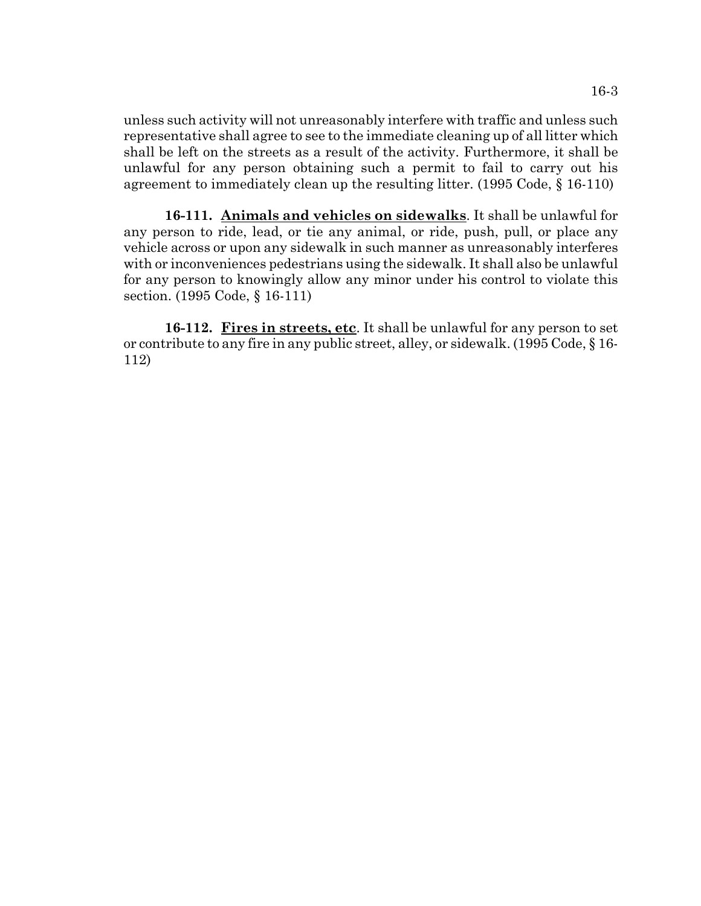unless such activity will not unreasonably interfere with traffic and unless such representative shall agree to see to the immediate cleaning up of all litter which shall be left on the streets as a result of the activity. Furthermore, it shall be unlawful for any person obtaining such a permit to fail to carry out his agreement to immediately clean up the resulting litter. (1995 Code, § 16-110)

**16-111. Animals and vehicles on sidewalks**. It shall be unlawful for any person to ride, lead, or tie any animal, or ride, push, pull, or place any vehicle across or upon any sidewalk in such manner as unreasonably interferes with or inconveniences pedestrians using the sidewalk. It shall also be unlawful for any person to knowingly allow any minor under his control to violate this section. (1995 Code, § 16-111)

**16-112. Fires in streets, etc**. It shall be unlawful for any person to set or contribute to any fire in any public street, alley, or sidewalk. (1995 Code, § 16- 112)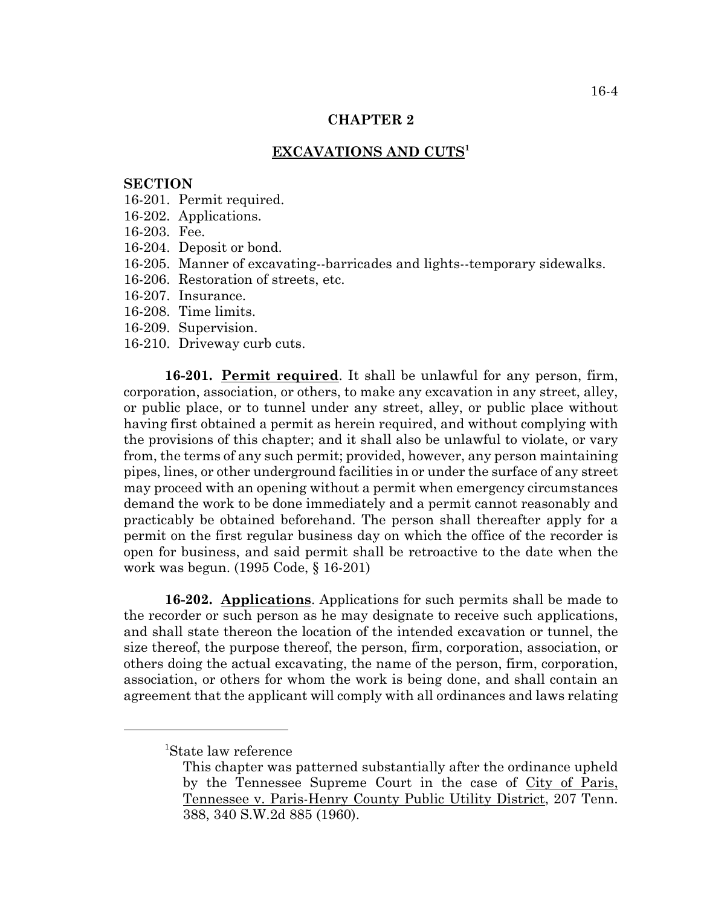### **CHAPTER 2**

## **EXCAVATIONS AND CUTS<sup>1</sup>**

#### **SECTION**

- 16-201. Permit required.
- 16-202. Applications.
- 16-203. Fee.
- 16-204. Deposit or bond.
- 16-205. Manner of excavating--barricades and lights--temporary sidewalks.
- 16-206. Restoration of streets, etc.
- 16-207. Insurance.
- 16-208. Time limits.
- 16-209. Supervision.
- 16-210. Driveway curb cuts.

**16-201. Permit required**. It shall be unlawful for any person, firm, corporation, association, or others, to make any excavation in any street, alley, or public place, or to tunnel under any street, alley, or public place without having first obtained a permit as herein required, and without complying with the provisions of this chapter; and it shall also be unlawful to violate, or vary from, the terms of any such permit; provided, however, any person maintaining pipes, lines, or other underground facilities in or under the surface of any street may proceed with an opening without a permit when emergency circumstances demand the work to be done immediately and a permit cannot reasonably and practicably be obtained beforehand. The person shall thereafter apply for a permit on the first regular business day on which the office of the recorder is open for business, and said permit shall be retroactive to the date when the work was begun. (1995 Code, § 16-201)

**16-202. Applications**. Applications for such permits shall be made to the recorder or such person as he may designate to receive such applications, and shall state thereon the location of the intended excavation or tunnel, the size thereof, the purpose thereof, the person, firm, corporation, association, or others doing the actual excavating, the name of the person, firm, corporation, association, or others for whom the work is being done, and shall contain an agreement that the applicant will comply with all ordinances and laws relating

<sup>1</sup> State law reference

This chapter was patterned substantially after the ordinance upheld by the Tennessee Supreme Court in the case of City of Paris, Tennessee v. Paris-Henry County Public Utility District, 207 Tenn. 388, 340 S.W.2d 885 (1960).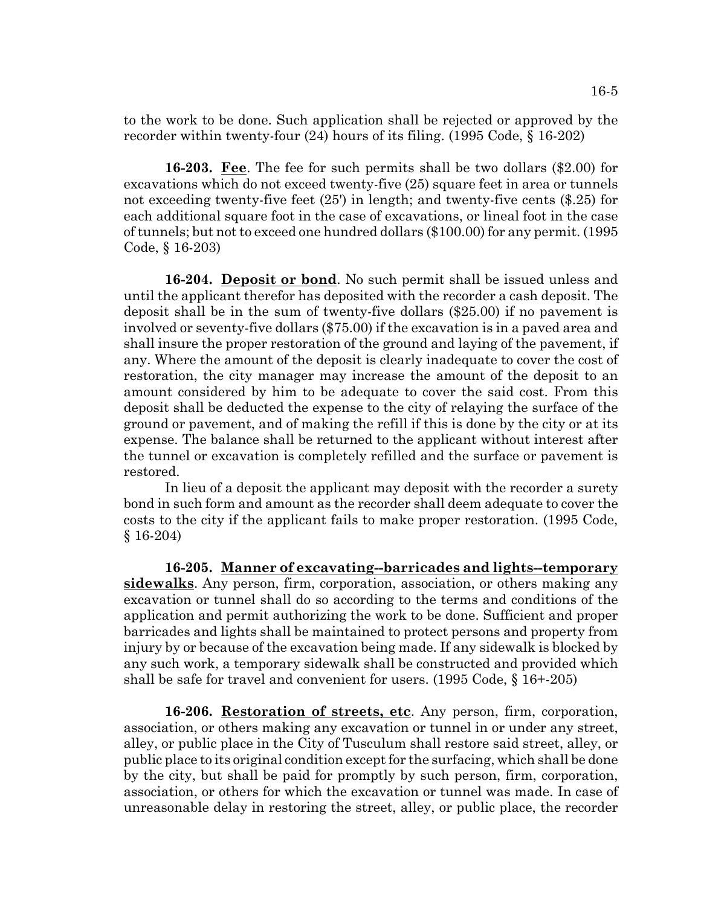to the work to be done. Such application shall be rejected or approved by the recorder within twenty-four (24) hours of its filing. (1995 Code, § 16-202)

**16-203. Fee**. The fee for such permits shall be two dollars (\$2.00) for excavations which do not exceed twenty-five (25) square feet in area or tunnels not exceeding twenty-five feet (25') in length; and twenty-five cents (\$.25) for each additional square foot in the case of excavations, or lineal foot in the case of tunnels; but not to exceed one hundred dollars (\$100.00) for any permit. (1995 Code, § 16-203)

**16-204. Deposit or bond**. No such permit shall be issued unless and until the applicant therefor has deposited with the recorder a cash deposit. The deposit shall be in the sum of twenty-five dollars (\$25.00) if no pavement is involved or seventy-five dollars (\$75.00) if the excavation is in a paved area and shall insure the proper restoration of the ground and laying of the pavement, if any. Where the amount of the deposit is clearly inadequate to cover the cost of restoration, the city manager may increase the amount of the deposit to an amount considered by him to be adequate to cover the said cost. From this deposit shall be deducted the expense to the city of relaying the surface of the ground or pavement, and of making the refill if this is done by the city or at its expense. The balance shall be returned to the applicant without interest after the tunnel or excavation is completely refilled and the surface or pavement is restored.

In lieu of a deposit the applicant may deposit with the recorder a surety bond in such form and amount as the recorder shall deem adequate to cover the costs to the city if the applicant fails to make proper restoration. (1995 Code, § 16-204)

**16-205. Manner of excavating--barricades and lights--temporary sidewalks**. Any person, firm, corporation, association, or others making any excavation or tunnel shall do so according to the terms and conditions of the application and permit authorizing the work to be done. Sufficient and proper barricades and lights shall be maintained to protect persons and property from injury by or because of the excavation being made. If any sidewalk is blocked by any such work, a temporary sidewalk shall be constructed and provided which shall be safe for travel and convenient for users. (1995 Code, § 16+-205)

**16-206. Restoration of streets, etc**. Any person, firm, corporation, association, or others making any excavation or tunnel in or under any street, alley, or public place in the City of Tusculum shall restore said street, alley, or public place to its original condition except for the surfacing, which shall be done by the city, but shall be paid for promptly by such person, firm, corporation, association, or others for which the excavation or tunnel was made. In case of unreasonable delay in restoring the street, alley, or public place, the recorder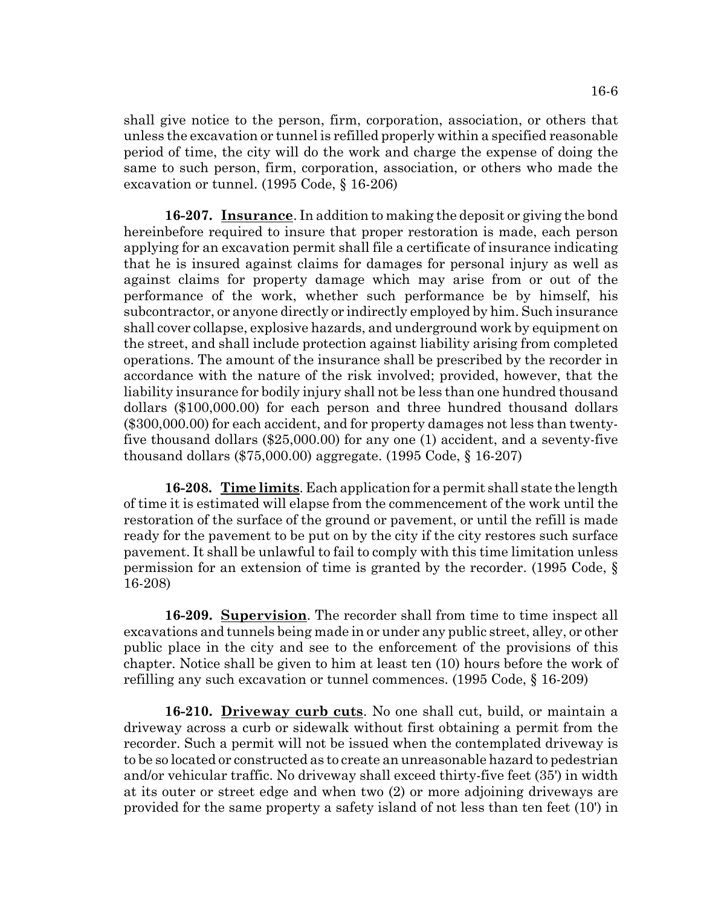shall give notice to the person, firm, corporation, association, or others that unless the excavation or tunnel is refilled properly within a specified reasonable period of time, the city will do the work and charge the expense of doing the same to such person, firm, corporation, association, or others who made the excavation or tunnel. (1995 Code, § 16-206)

**16-207. Insurance**. In addition to making the deposit or giving the bond hereinbefore required to insure that proper restoration is made, each person applying for an excavation permit shall file a certificate of insurance indicating that he is insured against claims for damages for personal injury as well as against claims for property damage which may arise from or out of the performance of the work, whether such performance be by himself, his subcontractor, or anyone directly or indirectly employed by him. Such insurance shall cover collapse, explosive hazards, and underground work by equipment on the street, and shall include protection against liability arising from completed operations. The amount of the insurance shall be prescribed by the recorder in accordance with the nature of the risk involved; provided, however, that the liability insurance for bodily injury shall not be less than one hundred thousand dollars (\$100,000.00) for each person and three hundred thousand dollars (\$300,000.00) for each accident, and for property damages not less than twentyfive thousand dollars (\$25,000.00) for any one (1) accident, and a seventy-five thousand dollars (\$75,000.00) aggregate. (1995 Code, § 16-207)

**16-208. Time limits**. Each application for a permit shall state the length of time it is estimated will elapse from the commencement of the work until the restoration of the surface of the ground or pavement, or until the refill is made ready for the pavement to be put on by the city if the city restores such surface pavement. It shall be unlawful to fail to comply with this time limitation unless permission for an extension of time is granted by the recorder. (1995 Code, § 16-208)

**16-209. Supervision**. The recorder shall from time to time inspect all excavations and tunnels being made in or under any public street, alley, or other public place in the city and see to the enforcement of the provisions of this chapter. Notice shall be given to him at least ten (10) hours before the work of refilling any such excavation or tunnel commences. (1995 Code, § 16-209)

**16-210. Driveway curb cuts**. No one shall cut, build, or maintain a driveway across a curb or sidewalk without first obtaining a permit from the recorder. Such a permit will not be issued when the contemplated driveway is to be so located or constructed as to create an unreasonable hazard to pedestrian and/or vehicular traffic. No driveway shall exceed thirty-five feet (35') in width at its outer or street edge and when two (2) or more adjoining driveways are provided for the same property a safety island of not less than ten feet (10') in